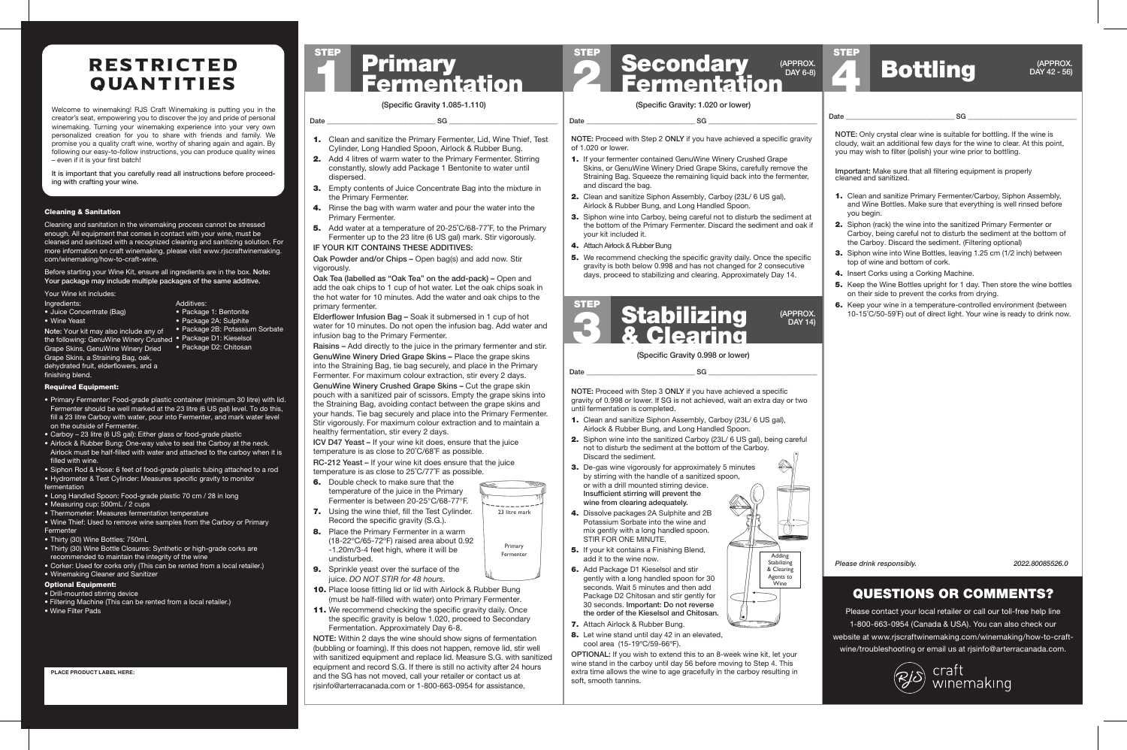#### Cleaning & Sanitation

Cleaning and sanitation in the winemaking process cannot be stressed enough. All equipment that comes in contact with your wine, must be cleaned and sanitized with a recognized cleaning and sanitizing solution. For more information on craft winemaking, please visit www.rjscraftwinemaking. com/winemaking/how-to-craft-wine.

Before starting your Wine Kit, ensure all ingredients are in the box. Note: Your package may include multiple packages of the same additive.

### Required Equipment:

- Primary Fermenter: Food-grade plastic container (minimum 30 litre) with lid. Fermenter should be well marked at the 23 litre (6 US gal) level. To do this, fill a 23 litre Carboy with water, pour into Fermenter, and mark water level on the outside of Fermenter.
- Carboy 23 litre (6 US gal): Either glass or food-grade plastic
- Airlock & Rubber Bung: One-way valve to seal the Carboy at the neck. Airlock must be half-filled with water and attached to the carboy when it is filled with wine.
- Siphon Rod & Hose: 6 feet of food-grade plastic tubing attached to a rod
- Hydrometer & Test Cylinder: Measures specific gravity to monitor fermentation
- Long Handled Spoon: Food-grade plastic 70 cm / 28 in long
- Measuring cup: 500mL / 2 cups
- Thermometer: Measures fermentation temperature
- Wine Thief: Used to remove wine samples from the Carboy or Primary **Fermenter**
- Thirty (30) Wine Bottles: 750mL
- Thirty (30) Wine Bottle Closures: Synthetic or high-grade corks are recommended to maintain the integrity of the wine
- Corker: Used for corks only (This can be rented from a local retailer.)
- Winemaking Cleaner and Sanitizer

# **Primary<br>Fermentation** STEP

- 1. If your fermenter contained GenuWine Winery Crushed Grape Skins, or GenuWine Winery Dried Grape Skins, carefully remove the Straining Bag. Squeeze the remaining liquid back into the fermenter, and discard the bag.
- 2. Clean and sanitize Siphon Assembly, Carboy (23L/ 6 US gal), Airlock & Rubber Bung, and Long Handled Spoon.
- 3. Siphon wine into Carboy, being careful not to disturb the sediment at the bottom of the Primary Fermenter. Discard the sediment and oak if your kit included it.
- 4. Attach Airlock & Rubber Bung

| Your Wine kit includes:                |                                 |
|----------------------------------------|---------------------------------|
| Ingredients:                           | Additives:                      |
| • Juice Concentrate (Bag)              | • Package 1: Bentonite          |
| • Wine Yeast                           | • Package 2A: Sulphite          |
| Note: Your kit may also include any of | • Package 2B: Potassium Sorbate |
| the following: GenuWine Winery Crushed | • Package D1: Kieselsol         |
| Grape Skins, GenuWine Winery Dried     | • Package D2: Chitosan          |
|                                        |                                 |

**5.** We recommend checking the specific gravity daily. Once the specific gravity is both below 0.998 and has not changed for 2 consecutive days, proceed to stabilizing and clearing. Approximately Day 14.

### Optional Equipment:

- 1. Clean and sanitize Siphon Assembly, Carboy (23L/ 6 US gal), Airlock & Rubber Bung, and Long Handled Spoon.
- 2. Siphon wine into the sanitized Carboy (23L/ 6 US gal), being careful not to disturb the sediment at the bottom of the Carboy. Discard the sediment.
- **3.** De-gas wine vigorously for approximately 5 minutes by stirring with the handle of a sanitized spoon, or with a drill mounted stirring device. Insufficient stirring will prevent the wine from clearing adequately.
- 4. Dissolve packages 2A Sulphite and 2B Potassium Sorbate into the wine and mix gently with a long handled spoon. STIR FOR ONE MINUTE.

Grape Skins, a Straining Bag, oak, dehydrated fruit, elderflowers, and a finishing blend.

> **5.** If your kit contains a Finishing Blend. add it to the wine now.

### QUESTIONS OR COMMENTS?

Please contact your local retailer or call our toll-free help line 1-800-663-0954 (Canada & USA). You can also check our website at www.rjscraftwinemaking.com/winemaking/how-to-craftwine/troubleshooting or email us at rjsinfo@arterracanada.com.



craft<br>winemaking

2 STEP

NOTE: Proceed with Step 2 ONLY if you have achieved a specific gravity of 1.020 or lower.

### (Specific Gravity 1.085-1.110)

Date \_\_\_\_\_\_\_\_\_\_\_\_\_\_\_\_\_\_\_\_\_\_\_\_\_\_\_\_\_\_\_\_\_ SG \_\_\_\_\_\_\_\_\_\_\_\_\_\_\_\_\_\_\_\_\_\_\_\_\_\_\_\_\_\_\_\_\_

(Specific Gravity: 1.020 or lower)

Date \_\_\_\_\_\_\_\_\_\_\_\_\_\_\_\_\_\_\_\_\_\_\_\_\_\_\_\_\_\_\_\_\_ SG \_\_\_\_\_\_\_\_\_\_\_\_\_\_\_\_\_\_\_\_\_\_\_\_\_\_\_\_\_\_\_\_\_

### (APPROX. DAY 6-8)

*Please drink responsibly. 2022.80085526.0*

NOTE: Proceed with Step 3 ONLY if you have achieved a specific gravity of 0.998 or lower. If SG is not achieved, wait an extra day or two until fermentation is completed.

- 6. Double check to make sure that the temperature of the juice in the Primary Fermenter is between 20-25°C/68-77°F.
- **7.** Using the wine thief, fill the Test Cylinder. Record the specific gravity (S.G.).
- 8. Place the Primary Fermenter in a warm (18-22ºC/65-72ºF) raised area about 0.92 -1.20m/3-4 feet high, where it will be undisturbed.
- 9. Sprinkle yeast over the surface of the juice. *DO NOT STIR for 48 hours*.
- 10. Place loose fitting lid or lid with Airlock & Rubber Bung (must be half-filled with water) onto Primary Fermenter.
- 11. We recommend checking the specific gravity daily. Once the specific gravity is below 1.020, proceed to Secondary Fermentation. Approximately Day 6-8.

NOTE: Within 2 days the wine should show signs of fermentation (bubbling or foaming). If this does not happen, remove lid, stir well with sanitized equipment and replace lid. Measure S.G. with sanitized equipment and record S.G. If there is still no activity after 24 hours and the SG has not moved, call your retailer or contact us at risinfo@arterracanada.com or 1-800-663-0954 for assistance.

Secondary<br>Fermentation

- 6. Add Package D1 Kieselsol and stir gently with a long handled spoon for 30 seconds. Wait 5 minutes and then add Package D2 Chitosan and stir gently for 30 seconds. Important: Do not reverse the order of the Kieselsol and Chitosan.
- 7. Attach Airlock & Rubber Bung.
- 8. Let wine stand until day 42 in an elevated, cool area (15-19ºC/59-66ºF).

OPTIONAL: If you wish to extend this to an 8-week wine kit, let your wine stand in the carboy until day 56 before moving to Step 4. This extra time allows the wine to age gracefully in the carboy resulting in soft, smooth tannins.

Date \_\_\_\_\_\_\_\_\_\_\_\_\_\_\_\_\_\_\_\_\_\_\_\_\_\_\_\_\_\_\_\_\_ SG \_\_\_\_\_\_\_\_\_\_\_\_\_\_\_\_\_\_\_\_\_\_\_\_\_\_\_\_\_\_\_\_\_



Adding **Stabilizing** & Clearing Agents to Wine

(APPROX. DAY 14)



- 1. Clean and sanitize the Primary Fermenter, Lid, Wine Thief, Test Cylinder, Long Handled Spoon, Airlock & Rubber Bung.
- 2. Add 4 litres of warm water to the Primary Fermenter. Stirring constantly, slowly add Package 1 Bentonite to water until dispersed.
- **3.** Empty contents of Juice Concentrate Bag into the mixture in the Primary Fermenter.
- 4. Rinse the bag with warm water and pour the water into the Primary Fermenter.
- 5. Add water at a temperature of 20-25°C/68-77°F, to the Primary Fermenter up to the 23 litre (6 US gal) mark. Stir vigorously.

- Drill-mounted stirring device
- Filtering Machine (This can be rented from a local retailer.)
- Wine Filter Pads
- **PLACE PRODUCT LABEL HERE:**

### IF YOUR KIT CONTAINS THESE ADDITIVES:

Oak Powder and/or Chips – Open bag(s) and add now. Stir vigorously.

Oak Tea (labelled as "Oak Tea" on the add-pack) – Open and add the oak chips to 1 cup of hot water. Let the oak chips soak in the hot water for 10 minutes. Add the water and oak chips to the primary fermenter.

Elderflower Infusion Bag – Soak it submersed in 1 cup of hot water for 10 minutes. Do not open the infusion bag. Add water and infusion bag to the Primary Fermenter.

Raisins – Add directly to the juice in the primary fermenter and stir.

GenuWine Winery Dried Grape Skins – Place the grape skins into the Straining Bag, tie bag securely, and place in the Primary Fermenter. For maximum colour extraction, stir every 2 days.

GenuWine Winery Crushed Grape Skins – Cut the grape skin pouch with a sanitized pair of scissors. Empty the grape skins into the Straining Bag, avoiding contact between the grape skins and your hands. Tie bag securely and place into the Primary Fermenter. Stir vigorously. For maximum colour extraction and to maintain a healthy fermentation, stir every 2 days.

ICV D47 Yeast – If your wine kit does, ensure that the juice temperature is as close to 20˚C/68˚F as possible. RC-212 Yeast – If your wine kit does ensure that the juice

temperature is as close to 25˚C/77˚F as possible.



NOTE: Only crystal clear wine is suitable for bottling. If the wine is cloudy, wait an additional few days for the wine to clear. At this point,

you may wish to filter (polish) your wine prior to bottling.

1. Clean and sanitize Primary Fermenter/Carboy, Siphon Assembly, and Wine Bottles. Make sure that everything is well rinsed before

you begin.

2. Siphon (rack) the wine into the sanitized Primary Fermenter or Carboy, being careful not to disturb the sediment at the bottom of

the Carboy. Discard the sediment. (Filtering optional)

3. Siphon wine into Wine Bottles, leaving 1.25 cm (1/2 inch) between

top of wine and bottom of cork. 4. Insert Corks using a Corking Machine.

5. Keep the Wine Bottles upright for 1 day. Then store the wine bottles

on their side to prevent the corks from drying.

6. Keep your wine in a temperature-controlled environment (between 10-15˚C/50-59˚F) out of direct light. Your wine is ready to drink now.

Important: Make sure that all filtering equipment is properly

cleaned and sanitized.

### Date \_\_\_\_\_\_\_\_\_\_\_\_\_\_\_\_\_\_\_\_\_\_\_\_\_\_\_\_\_\_\_\_\_ SG \_\_\_\_\_\_\_\_\_\_\_\_\_\_\_\_\_\_\_\_\_\_\_\_\_\_\_\_\_\_\_\_\_

4

STEP

# Bottling

# RESTRICTED QUANTITIES

Welcome to winemaking! RJS Craft Winemaking is putting you in the creator's seat, empowering you to discover the joy and pride of personal winemaking. Turning your winemaking experience into your very own personalized creation for you to share with friends and family. We promise you a quality craft wine, worthy of sharing again and again. By following our easy-to-follow instructions, you can produce quality wines – even if it is your first batch!

It is important that you carefully read all instructions before proceeding with crafting your wine.